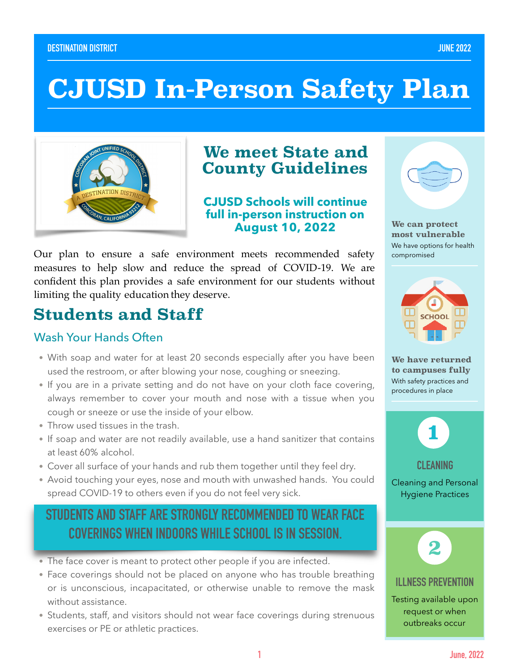#### **DESTINATION DISTRICT JUNE 2022**

# **CJUSD In-Person Safety Plan**



### **We meet State and County Guidelines**

**CJUSD Schools will continue full in-person instruction on August 10, 2022** 

Our plan to ensure a safe environment meets recommended safety measures to help slow and reduce the spread of COVID-19. We are confident this plan provides a safe environment for our students without limiting the quality education they deserve.

### **Students and Staff**

### Wash Your Hands Often

- With soap and water for at least 20 seconds especially after you have been used the restroom, or after blowing your nose, coughing or sneezing.
- If you are in a private setting and do not have on your cloth face covering, always remember to cover your mouth and nose with a tissue when you cough or sneeze or use the inside of your elbow.
- Throw used tissues in the trash.
- If soap and water are not readily available, use a hand sanitizer that contains at least 60% alcohol.
- Cover all surface of your hands and rub them together until they feel dry.
- Avoid touching your eyes, nose and mouth with unwashed hands. You could spread COVID-19 to others even if you do not feel very sick.

### **STUDENTS AND STAFF ARE STRONGLY RECOMMENDED TO WEAR FACE COVERINGS WHEN INDOORS WHILE SCHOOL IS IN SESSION.**

- The face cover is meant to protect other people if you are infected.
- Face coverings should not be placed on anyone who has trouble breathing or is unconscious, incapacitated, or otherwise unable to remove the mask without assistance.
- Students, staff, and visitors should not wear face coverings during strenuous exercises or PE or athletic practices.



**We can protect most vulnerable**  We have options for health compromised



**We have returned to campuses fully**  With safety practices and procedures in place



Cleaning and Personal Hygiene Practices

**CLEANING** 



#### **ILLNESS PREVENTION**

Testing available upon request or when outbreaks occur